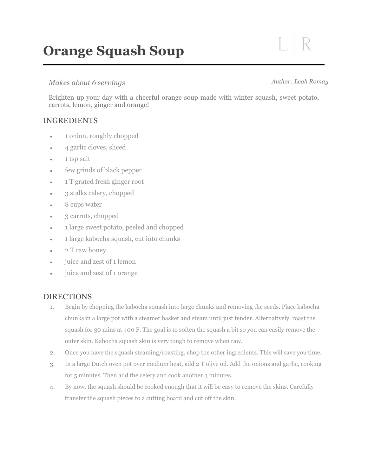# **Orange Squash Soup**

## *Makes about 6 servings*

### *Author: Leah Romay*

Brighten up your day with a cheerful orange soup made with winter squash, sweet potato, carrots, lemon, ginger and orange!

# INGREDIENTS

- 1 onion, roughly chopped
- 4 garlic cloves, sliced
- 1 tsp salt
- few grinds of black pepper
- 1 T grated fresh ginger root
- 3 stalks celery, chopped
- 8 cups water
- 3 carrots, chopped
- 1 large sweet potato, peeled and chopped
- 1 large kabocha squash, cut into chunks
- 2 T raw honey
- juice and zest of 1 lemon
- juice and zest of 1 orange

# DIRECTIONS

- 1. Begin by chopping the kabocha squash into large chunks and removing the seeds. Place kabocha chunks in a large pot with a steamer basket and steam until just tender. Alternatively, roast the squash for 30 mins at 400 F. The goal is to soften the squash a bit so you can easily remove the outer skin. Kabocha squash skin is very tough to remove when raw.
- 2. Once you have the squash steaming/roasting, chop the other ingredients. This will save you time.
- 3. In a large Dutch oven pot over medium heat, add 2 T olive oil. Add the onions and garlic, cooking for 5 minutes. Then add the celery and cook another 3 minutes.
- 4. By now, the squash should be cooked enough that it will be easy to remove the skins. Carefully transfer the squash pieces to a cutting board and cut off the skin.